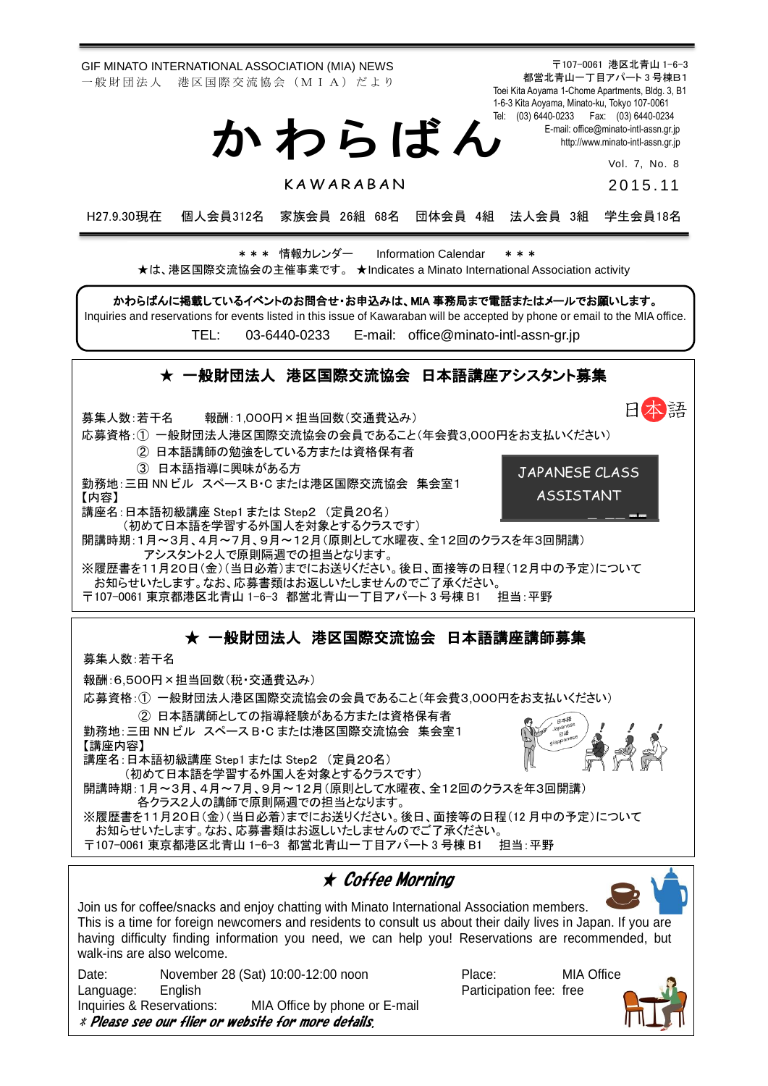GIF MINATO INTERNATIONAL ASSOCIATION (MIA) NEWS 一般財団法人 港区国際交流協会 (MIA) だより

か わ ら ば ん

**KAWARABAN** 

〒107-0061 港区北青山 1-6-3 都営北青山一丁目アパート 3 号棟B1 Toei Kita Aoyama 1-Chome Apartments, Bldg. 3, B1 1-6-3 Kita Aoyama, Minato-ku, Tokyo 107-0061 Tel: (03) 6440-0233 Fax: (03) 6440-0234 E-mail[: office@minato-intl-assn.gr.jp](mailto:office@minato-intl-assn.gr.jp) [http://www.minato-intl-assn.gr.jp](http://www.minato-intl-assn.gr.jp/)

Vol. 7, No. 8

2 0 1 5 . 11

H27.9.30現在 個人会員312名 家族会員 26組 68名 団体会員 4組 法人会員 3組 学生会員18名

\* \* \* 情報カレンダー Information Calendar \* \* \* ★は、港区国際交流協会の主催事業です。 ★Indicates a Minato International Association activity

かわらばんに掲載しているイベントのお問合せ・お申込みは、MIA 事務局まで電話またはメールでお願いします。 Inquiries and reservations for events listed in this issue of Kawaraban will be accepted by phone or email to the MIA office.

TEL: [03-6440-0233](mailto:TEL:%0903-6440-0233) E-mail: [office@minato-intl-assn-gr.jp](mailto:office@minato-intl-assn-gr.jp)

## ★ 一般財団法人 港区国際交流協会 日本語講座アシスタント募集

日本語 募集人数:若干名 報酬:1,000円×担当回数(交通費込み) 応募資格:① 一般財団法人港区国際交流協会の会員であること(年会費3,000円をお支払いください) ② 日本語講師の勉強をしている方または資格保有者 ③ 日本語指導に興味がある方 JAPANESE CLASS 勤務地:三田 NN ビル スペース B・C または港区国際交流協会 集会室1 ASSISTANT【内容】 講座名:日本語初級講座 Step1 または Step2 (定員20名) (初めて日本語を学習する外国人を対象とするクラスです) 開講時期:1月~3月、4月~7月、9月~12月(原則として水曜夜、全12回のクラスを年3回開講) アシスタント2人で原則隔週での担当となります。 ※履歴書を11月20日(金)(当日必着)までにお送りください。後日、面接等の日程(12月中の予定)について お知らせいたします。なお、応募書類はお返しいたしませんのでご了承ください。 〒107-0061 東京都港区北青山 1-6-3 都営北青山一丁目アパート 3 号棟 B1 担当:平野

## ★ 一般財団法人 港区国際交流協会 日本語講座講師募集

募集人数:若干名

報酬:6,500円×担当回数(税・交通費込み)

応募資格:① 一般財団法人港区国際交流協会の会員であること(年会費3,000円をお支払いください)

② 日本語講師としての指導経験がある方または資格保有者 勤務地:三田 NN ビル スペース B・C または港区国際交流協会 集会室1 【講座内容】 講座名:日本語初級講座 Step1 または Step2 (定員20名) (初めて日本語を学習する外国人を対象とするクラスです) 開講時期:1月~3月、4月~7月、9月~12月(原則として水曜夜、全12回のクラスを年3回開講) 各クラス2人の講師で原則隔週での担当となります。

※履歴書を11月20日(金)(当日必着)までにお送りください。後日、面接等の日程(12 月中の予定)について お知らせいたします。なお、応募書類はお返しいたしませんのでご了承ください。

〒107-0061 東京都港区北青山 1-6-3 都営北青山一丁目アパート 3 号棟 B1 担当:平野

★ Coffee Morning Join us for coffee/snacks and enjoy chatting with Minato International Association members. This is a time for foreign newcomers and residents to consult us about their daily lives in Japan. If you are having difficulty finding information you need, we can help you! Reservations are recommended, but walk-ins are also welcome. Date: November 28 (Sat) 10:00-12:00 noon Place: MIA Office Language: English **Participation fee:** free Inquiries & Reservations: MIA Office by phone or E-mail \* Please see our flier or website for more details.